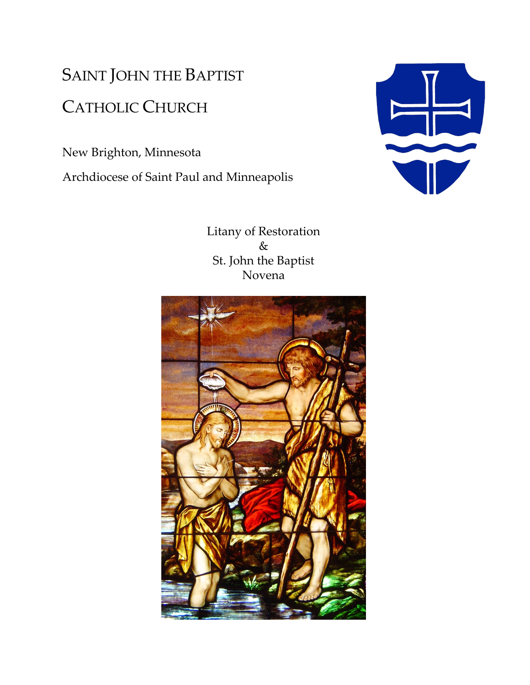## SAINT JOHN THE BAPTIST CATHOLIC CHURCH

New Brighton, Minnesota

Archdiocese of Saint Paul and Minneapolis



Litany of Restoration & St. John the Baptist Novena

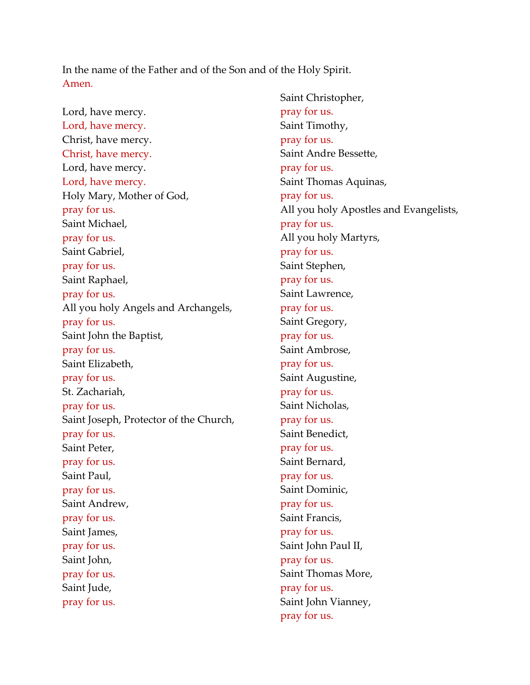In the name of the Father and of the Son and of the Holy Spirit. Amen.

Lord, have mercy. Lord, have mercy. Christ, have mercy. Christ, have mercy. Lord, have mercy. Lord, have mercy. Holy Mary, Mother of God, pray for us. Saint Michael, pray for us. Saint Gabriel, pray for us. Saint Raphael, pray for us. All you holy Angels and Archangels, pray for us. Saint John the Baptist, pray for us. Saint Elizabeth, pray for us. St. Zachariah, pray for us. Saint Joseph, Protector of the Church, pray for us. Saint Peter, pray for us. Saint Paul, pray for us. Saint Andrew, pray for us. Saint James, pray for us. Saint John, pray for us. Saint Jude, pray for us.

Saint Christopher, pray for us. Saint Timothy, pray for us. Saint Andre Bessette, pray for us. Saint Thomas Aquinas, pray for us. All you holy Apostles and Evangelists, pray for us. All you holy Martyrs, pray for us. Saint Stephen, pray for us. Saint Lawrence, pray for us. Saint Gregory, pray for us. Saint Ambrose, pray for us. Saint Augustine, pray for us. Saint Nicholas, pray for us. Saint Benedict, pray for us. Saint Bernard, pray for us. Saint Dominic, pray for us. Saint Francis, pray for us. Saint John Paul II, pray for us. Saint Thomas More, pray for us. Saint John Vianney, pray for us.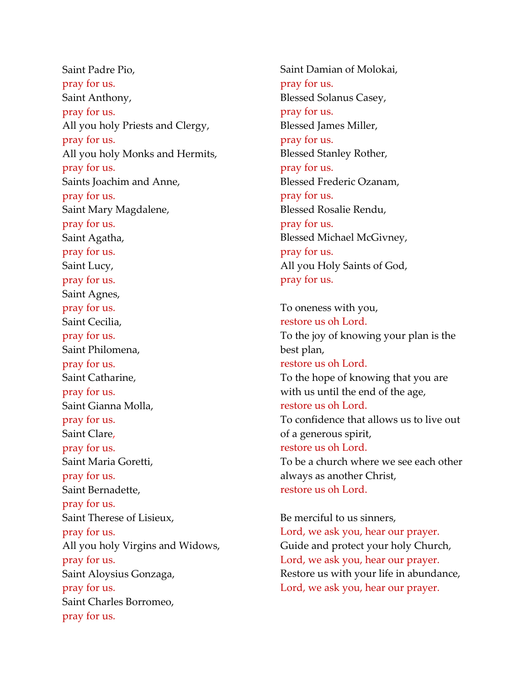Saint Padre Pio, pray for us. Saint Anthony, pray for us. All you holy Priests and Clergy, pray for us. All you holy Monks and Hermits, pray for us. Saints Joachim and Anne, pray for us. Saint Mary Magdalene, pray for us. Saint Agatha, pray for us. Saint Lucy, pray for us. Saint Agnes, pray for us. Saint Cecilia, pray for us. Saint Philomena, pray for us. Saint Catharine, pray for us. Saint Gianna Molla, pray for us. Saint Clare, pray for us. Saint Maria Goretti, pray for us. Saint Bernadette, pray for us. Saint Therese of Lisieux, pray for us. All you holy Virgins and Widows, pray for us. Saint Aloysius Gonzaga, pray for us. Saint Charles Borromeo, pray for us.

Saint Damian of Molokai, pray for us. Blessed Solanus Casey, pray for us. Blessed James Miller, pray for us. Blessed Stanley Rother, pray for us. Blessed Frederic Ozanam, pray for us. Blessed Rosalie Rendu, pray for us. Blessed Michael McGivney, pray for us. All you Holy Saints of God, pray for us.

To oneness with you, restore us oh Lord. To the joy of knowing your plan is the best plan, restore us oh Lord. To the hope of knowing that you are with us until the end of the age, restore us oh Lord. To confidence that allows us to live out of a generous spirit, restore us oh Lord. To be a church where we see each other always as another Christ, restore us oh Lord.

Be merciful to us sinners, Lord, we ask you, hear our prayer. Guide and protect your holy Church, Lord, we ask you, hear our prayer. Restore us with your life in abundance, Lord, we ask you, hear our prayer.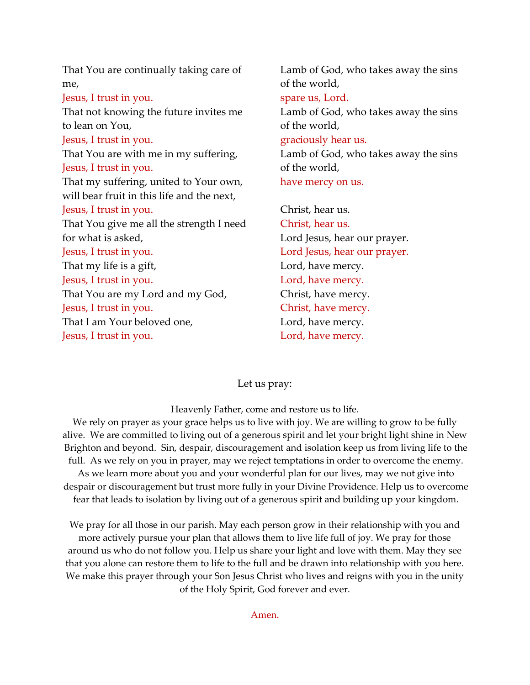| That You are continually taking care of    | Lamb of God, who takes away the sins |
|--------------------------------------------|--------------------------------------|
| me,                                        | of the world,                        |
| Jesus, I trust in you.                     | spare us, Lord.                      |
| That not knowing the future invites me     | Lamb of God, who takes away the sins |
| to lean on You,                            | of the world,                        |
| Jesus, I trust in you.                     | graciously hear us.                  |
| That You are with me in my suffering,      | Lamb of God, who takes away the sins |
| Jesus, I trust in you.                     | of the world,                        |
| That my suffering, united to Your own,     | have mercy on us.                    |
| will bear fruit in this life and the next, |                                      |
| Jesus, I trust in you.                     | Christ, hear us.                     |
| That You give me all the strength I need   | Christ, hear us.                     |
| for what is asked,                         | Lord Jesus, hear our prayer.         |
| Jesus, I trust in you.                     | Lord Jesus, hear our prayer.         |
| That my life is a gift,                    | Lord, have mercy.                    |
| Jesus, I trust in you.                     | Lord, have mercy.                    |
| That You are my Lord and my God,           | Christ, have mercy.                  |
| Jesus, I trust in you.                     | Christ, have mercy.                  |
| That I am Your beloved one,                | Lord, have mercy.                    |
| Jesus, I trust in you.                     | Lord, have mercy.                    |
|                                            |                                      |

## Let us pray:

Heavenly Father, come and restore us to life.

We rely on prayer as your grace helps us to live with joy. We are willing to grow to be fully alive. We are committed to living out of a generous spirit and let your bright light shine in New Brighton and beyond. Sin, despair, discouragement and isolation keep us from living life to the full. As we rely on you in prayer, may we reject temptations in order to overcome the enemy. As we learn more about you and your wonderful plan for our lives, may we not give into despair or discouragement but trust more fully in your Divine Providence. Help us to overcome fear that leads to isolation by living out of a generous spirit and building up your kingdom.

We pray for all those in our parish. May each person grow in their relationship with you and more actively pursue your plan that allows them to live life full of joy. We pray for those around us who do not follow you. Help us share your light and love with them. May they see that you alone can restore them to life to the full and be drawn into relationship with you here. We make this prayer through your Son Jesus Christ who lives and reigns with you in the unity of the Holy Spirit, God forever and ever.